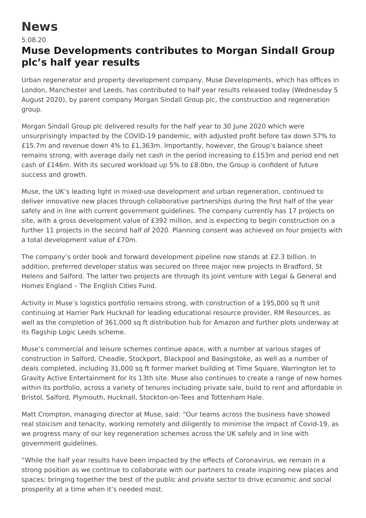## **News**

## 5.08.20

## **Muse Developments contributes to Morgan Sindall Group plc's half year results**

Urban regenerator and property development company, Muse Developments, which has offices in London, Manchester and Leeds, has contributed to half year results released today (Wednesday 5 August 2020), by parent company Morgan Sindall Group plc, the construction and regeneration group.

Morgan Sindall Group plc delivered results for the half year to 30 June 2020 which were unsurprisingly impacted by the COVID-19 pandemic, with adjusted profit before tax down 57% to £15.7m and revenue down 4% to £1,363m. Importantly, however, the Group's balance sheet remains strong, with average daily net cash in the period increasing to £153m and period end net cash of £146m. With its secured workload up 5% to £8.0bn, the Group is confident of future success and growth.

Muse, the UK's leading light in mixed-use development and urban regeneration, continued to deliver innovative new places through collaborative partnerships during the first half of the year safely and in line with current government guidelines. The company currently has 17 projects on site, with a gross development value of £392 million, and is expecting to begin construction on a further 11 projects in the second half of 2020. Planning consent was achieved on four projects with a total development value of £70m.

The company's order book and forward development pipeline now stands at £2.3 billion. In addition, preferred developer status was secured on three major new projects in Bradford, St Helens and Salford. The latter two projects are through its joint venture with Legal & General and Homes England – The English Cities Fund.

Activity in Muse's logistics portfolio remains strong, with construction of a 195,000 sq ft unit continuing at Harrier Park Hucknall for leading educational resource provider, RM Resources, as well as the completion of 361,000 sq ft distribution hub for Amazon and further plots underway at its flagship Logic Leeds scheme.

Muse's commercial and leisure schemes continue apace, with a number at various stages of construction in Salford, Cheadle, Stockport, Blackpool and Basingstoke, as well as a number of deals completed, including 31,000 sq ft former market building at Time Square, Warrington let to Gravity Active Entertainment for its 13th site. Muse also continues to create a range of new homes within its portfolio, across a variety of tenures including private sale, build to rent and affordable in Bristol, Salford, Plymouth, Hucknall, Stockton-on-Tees and Tottenham Hale.

Matt Crompton, managing director at Muse, said: "Our teams across the business have showed real stoicism and tenacity, working remotely and diligently to minimise the impact of Covid-19, as we progress many of our key regeneration schemes across the UK safely and in line with government guidelines.

"While the half year results have been impacted by the effects of Coronavirus, we remain in a strong position as we continue to collaborate with our partners to create inspiring new places and spaces; bringing together the best of the public and private sector to drive economic and social prosperity at a time when it's needed most.